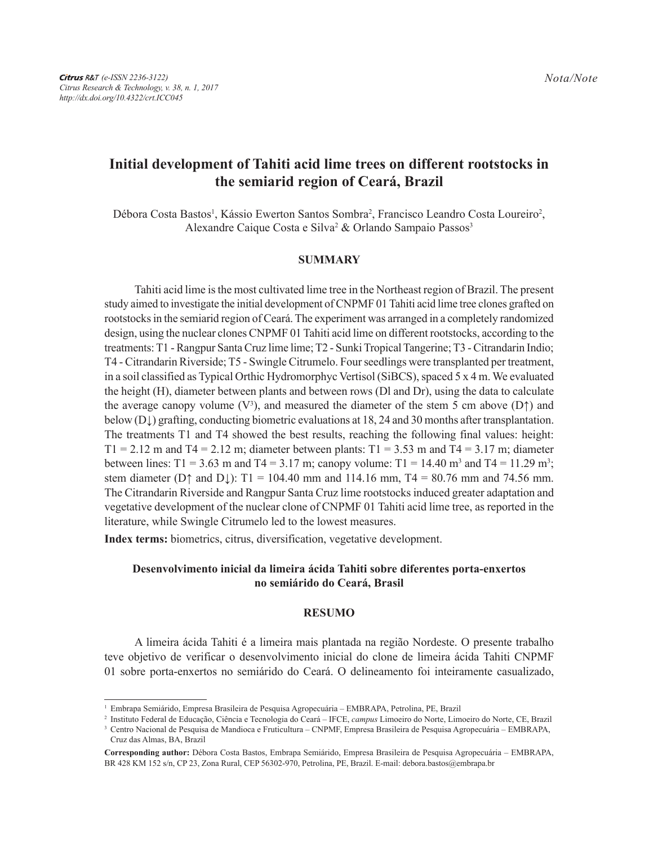# **Initial development of Tahiti acid lime trees on different rootstocks in the semiarid region of Ceará, Brazil**

Débora Costa Bastos<sup>1</sup>, Kássio Ewerton Santos Sombra<sup>2</sup>, Francisco Leandro Costa Loureiro<sup>2</sup>, Alexandre Caique Costa e Silva<sup>2</sup> & Orlando Sampaio Passos<sup>3</sup>

#### **SUMMARY**

Tahiti acid lime is the most cultivated lime tree in the Northeast region of Brazil. The present study aimed to investigate the initial development of CNPMF 01 Tahiti acid lime tree clones grafted on rootstocks in the semiarid region of Ceará. The experiment was arranged in a completely randomized design, using the nuclear clones CNPMF 01 Tahiti acid lime on different rootstocks, according to the treatments: T1 - Rangpur Santa Cruz lime lime; T2 - Sunki Tropical Tangerine; T3 - Citrandarin Indio; T4 - Citrandarin Riverside; T5 - Swingle Citrumelo. Four seedlings were transplanted per treatment, in a soil classified as Typical Orthic Hydromorphyc Vertisol (SiBCS), spaced 5 x 4 m. We evaluated the height (H), diameter between plants and between rows (Dl and Dr), using the data to calculate the average canopy volume ( $V^3$ ), and measured the diameter of the stem 5 cm above ( $D\uparrow$ ) and below (D↓) grafting, conducting biometric evaluations at 18, 24 and 30 months after transplantation. The treatments T1 and T4 showed the best results, reaching the following final values: height:  $T1 = 2.12$  m and  $T4 = 2.12$  m; diameter between plants:  $T1 = 3.53$  m and  $T4 = 3.17$  m; diameter between lines: T1 = 3.63 m and T4 = 3.17 m; canopy volume: T1 = 14.40 m<sup>3</sup> and T4 = 11.29 m<sup>3</sup>; stem diameter ( $D\uparrow$  and  $D\downarrow$ ): T1 = 104.40 mm and 114.16 mm, T4 = 80.76 mm and 74.56 mm. The Citrandarin Riverside and Rangpur Santa Cruz lime rootstocks induced greater adaptation and vegetative development of the nuclear clone of CNPMF 01 Tahiti acid lime tree, as reported in the literature, while Swingle Citrumelo led to the lowest measures.

**Index terms:** biometrics, citrus, diversification, vegetative development.

## **Desenvolvimento inicial da limeira ácida Tahiti sobre diferentes porta-enxertos no semiárido do Ceará, Brasil**

#### **RESUMO**

A limeira ácida Tahiti é a limeira mais plantada na região Nordeste. O presente trabalho teve objetivo de verificar o desenvolvimento inicial do clone de limeira ácida Tahiti CNPMF 01 sobre porta-enxertos no semiárido do Ceará. O delineamento foi inteiramente casualizado,

<sup>1</sup> Embrapa Semiárido, Empresa Brasileira de Pesquisa Agropecuária – EMBRAPA, Petrolina, PE, Brazil

<sup>2</sup> Instituto Federal de Educação, Ciência e Tecnologia do Ceará – IFCE, *campus* Limoeiro do Norte, Limoeiro do Norte, CE, Brazil

<sup>3</sup> Centro Nacional de Pesquisa de Mandioca e Fruticultura – CNPMF, Empresa Brasileira de Pesquisa Agropecuária – EMBRAPA, Cruz das Almas, BA, Brazil

**Corresponding author:** Débora Costa Bastos, Embrapa Semiárido, Empresa Brasileira de Pesquisa Agropecuária – EMBRAPA, BR 428 KM 152 s/n, CP 23, Zona Rural, CEP 56302-970, Petrolina, PE, Brazil. E-mail: debora.bastos@embrapa.br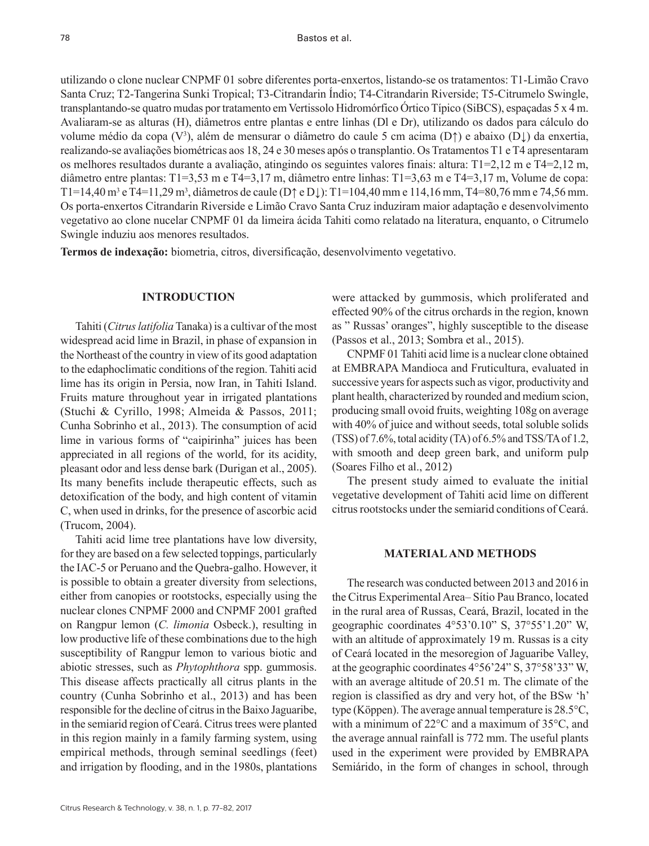78

utilizando o clone nuclear CNPMF 01 sobre diferentes porta-enxertos, listando-se os tratamentos: T1-Limão Cravo Santa Cruz; T2-Tangerina Sunki Tropical; T3-Citrandarin Índio; T4-Citrandarin Riverside; T5-Citrumelo Swingle, transplantando-se quatro mudas por tratamento em Vertissolo Hidromórfico Órtico Típico (SiBCS), espaçadas 5 x 4 m. Avaliaram-se as alturas (H), diâmetros entre plantas e entre linhas (Dl e Dr), utilizando os dados para cálculo do volume médio da copa (V3 ), além de mensurar o diâmetro do caule 5 cm acima (D↑) e abaixo (D↓) da enxertia, realizando-se avaliações biométricas aos 18, 24 e 30 meses após o transplantio. Os Tratamentos T1 e T4 apresentaram os melhores resultados durante a avaliação, atingindo os seguintes valores finais: altura: T1=2,12 m e T4=2,12 m, diâmetro entre plantas: T1=3,53 m e T4=3,17 m, diâmetro entre linhas: T1=3,63 m e T4=3,17 m, Volume de copa: T1=14,40 m<sup>3</sup> e T4=11,29 m<sup>3</sup>, diâmetros de caule (D† e D↓): T1=104,40 mm e 114,16 mm, T4=80,76 mm e 74,56 mm. Os porta-enxertos Citrandarin Riverside e Limão Cravo Santa Cruz induziram maior adaptação e desenvolvimento vegetativo ao clone nucelar CNPMF 01 da limeira ácida Tahiti como relatado na literatura, enquanto, o Citrumelo Swingle induziu aos menores resultados.

**Termos de indexação:** biometria, citros, diversificação, desenvolvimento vegetativo.

## **INTRODUCTION**

Tahiti (*Citrus latifolia* Tanaka) is a cultivar of the most widespread acid lime in Brazil, in phase of expansion in the Northeast of the country in view of its good adaptation to the edaphoclimatic conditions of the region. Tahiti acid lime has its origin in Persia, now Iran, in Tahiti Island. Fruits mature throughout year in irrigated plantations (Stuchi & Cyrillo, 1998; Almeida & Passos, 2011; Cunha Sobrinho et al., 2013). The consumption of acid lime in various forms of "caipirinha" juices has been appreciated in all regions of the world, for its acidity, pleasant odor and less dense bark (Durigan et al., 2005). Its many benefits include therapeutic effects, such as detoxification of the body, and high content of vitamin C, when used in drinks, for the presence of ascorbic acid (Trucom, 2004).

Tahiti acid lime tree plantations have low diversity, for they are based on a few selected toppings, particularly the IAC-5 or Peruano and the Quebra-galho. However, it is possible to obtain a greater diversity from selections, either from canopies or rootstocks, especially using the nuclear clones CNPMF 2000 and CNPMF 2001 grafted on Rangpur lemon (*C. limonia* Osbeck.), resulting in low productive life of these combinations due to the high susceptibility of Rangpur lemon to various biotic and abiotic stresses, such as *Phytophthora* spp. gummosis. This disease affects practically all citrus plants in the country (Cunha Sobrinho et al., 2013) and has been responsible for the decline of citrus in the Baixo Jaguaribe, in the semiarid region of Ceará. Citrus trees were planted in this region mainly in a family farming system, using empirical methods, through seminal seedlings (feet) and irrigation by flooding, and in the 1980s, plantations were attacked by gummosis, which proliferated and effected 90% of the citrus orchards in the region, known as " Russas' oranges", highly susceptible to the disease (Passos et al., 2013; Sombra et al., 2015).

CNPMF 01 Tahiti acid lime is a nuclear clone obtained at EMBRAPA Mandioca and Fruticultura, evaluated in successive years for aspects such as vigor, productivity and plant health, characterized by rounded and medium scion, producing small ovoid fruits, weighting 108g on average with 40% of juice and without seeds, total soluble solids (TSS) of 7.6%, total acidity (TA) of 6.5% and TSS/TA of 1.2, with smooth and deep green bark, and uniform pulp (Soares Filho et al., 2012)

The present study aimed to evaluate the initial vegetative development of Tahiti acid lime on different citrus rootstocks under the semiarid conditions of Ceará.

## **MATERIAL AND METHODS**

The research was conducted between 2013 and 2016 in the Citrus Experimental Area– Sítio Pau Branco, located in the rural area of Russas, Ceará, Brazil, located in the geographic coordinates 4°53'0.10" S, 37°55'1.20" W, with an altitude of approximately 19 m. Russas is a city of Ceará located in the mesoregion of Jaguaribe Valley, at the geographic coordinates 4°56'24" S, 37°58'33" W, with an average altitude of 20.51 m. The climate of the region is classified as dry and very hot, of the BSw 'h' type (Köppen). The average annual temperature is 28.5°C, with a minimum of 22°C and a maximum of 35°C, and the average annual rainfall is 772 mm. The useful plants used in the experiment were provided by EMBRAPA Semiárido, in the form of changes in school, through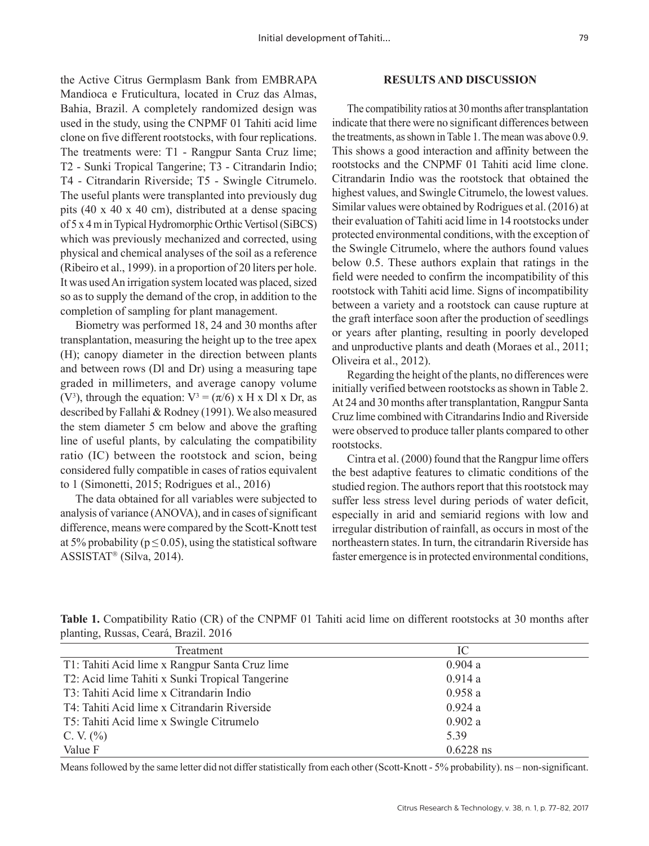the Active Citrus Germplasm Bank from EMBRAPA Mandioca e Fruticultura, located in Cruz das Almas, Bahia, Brazil. A completely randomized design was used in the study, using the CNPMF 01 Tahiti acid lime clone on five different rootstocks, with four replications. The treatments were: T1 - Rangpur Santa Cruz lime; T2 - Sunki Tropical Tangerine; T3 - Citrandarin Indio; T4 - Citrandarin Riverside; T5 - Swingle Citrumelo. The useful plants were transplanted into previously dug pits (40 x 40 x 40 cm), distributed at a dense spacing of 5 x 4 m in Typical Hydromorphic Orthic Vertisol (SiBCS) which was previously mechanized and corrected, using physical and chemical analyses of the soil as a reference (Ribeiro et al., 1999). in a proportion of 20 liters per hole. It was used An irrigation system located was placed, sized so as to supply the demand of the crop, in addition to the completion of sampling for plant management.

Biometry was performed 18, 24 and 30 months after transplantation, measuring the height up to the tree apex (H); canopy diameter in the direction between plants and between rows (Dl and Dr) using a measuring tape graded in millimeters, and average canopy volume (V<sup>3</sup>), through the equation:  $V^3 = (\pi/6) \times H \times D1 \times D$ r, as described by Fallahi & Rodney (1991). We also measured the stem diameter 5 cm below and above the grafting line of useful plants, by calculating the compatibility ratio (IC) between the rootstock and scion, being considered fully compatible in cases of ratios equivalent to 1 (Simonetti, 2015; Rodrigues et al., 2016)

The data obtained for all variables were subjected to analysis of variance (ANOVA), and in cases of significant difference, means were compared by the Scott-Knott test at 5% probability ( $p \le 0.05$ ), using the statistical software  $ASSISTAT$ <sup>®</sup> (Silva, 2014).

#### **RESULTS AND DISCUSSION**

The compatibility ratios at 30 months after transplantation indicate that there were no significant differences between the treatments, as shown in Table 1. The mean was above 0.9. This shows a good interaction and affinity between the rootstocks and the CNPMF 01 Tahiti acid lime clone. Citrandarin Indio was the rootstock that obtained the highest values, and Swingle Citrumelo, the lowest values. Similar values were obtained by Rodrigues et al. (2016) at their evaluation of Tahiti acid lime in 14 rootstocks under protected environmental conditions, with the exception of the Swingle Citrumelo, where the authors found values below 0.5. These authors explain that ratings in the field were needed to confirm the incompatibility of this rootstock with Tahiti acid lime. Signs of incompatibility between a variety and a rootstock can cause rupture at the graft interface soon after the production of seedlings or years after planting, resulting in poorly developed and unproductive plants and death (Moraes et al., 2011; Oliveira et al., 2012).

Regarding the height of the plants, no differences were initially verified between rootstocks as shown in Table 2. At 24 and 30 months after transplantation, Rangpur Santa Cruz lime combined with Citrandarins Indio and Riverside were observed to produce taller plants compared to other rootstocks.

Cintra et al. (2000) found that the Rangpur lime offers the best adaptive features to climatic conditions of the studied region. The authors report that this rootstock may suffer less stress level during periods of water deficit, especially in arid and semiarid regions with low and irregular distribution of rainfall, as occurs in most of the northeastern states. In turn, the citrandarin Riverside has faster emergence is in protected environmental conditions,

| Treatment                                       | IC          |  |
|-------------------------------------------------|-------------|--|
| T1: Tahiti Acid lime x Rangpur Santa Cruz lime  | 0.904a      |  |
| T2: Acid lime Tahiti x Sunki Tropical Tangerine | 0.914a      |  |
| T3: Tahiti Acid lime x Citrandarin Indio        | 0.958a      |  |
| T4: Tahiti Acid lime x Citrandarin Riverside    | 0.924a      |  |
| T5: Tahiti Acid lime x Swingle Citrumelo        | 0.902a      |  |
| C. V. $(\% )$                                   | 5.39        |  |
| Value F                                         | $0.6228$ ns |  |

**Table 1.** Compatibility Ratio (CR) of the CNPMF 01 Tahiti acid lime on different rootstocks at 30 months after planting, Russas, Ceará, Brazil. 2016

Means followed by the same letter did not differ statistically from each other (Scott-Knott - 5% probability). ns – non-significant.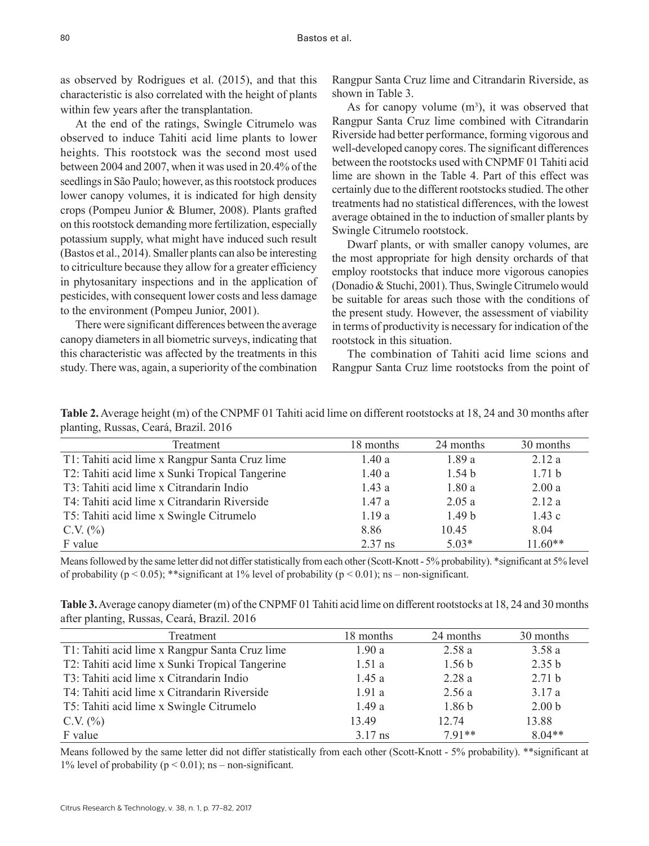as observed by Rodrigues et al. (2015), and that this characteristic is also correlated with the height of plants within few years after the transplantation.

At the end of the ratings, Swingle Citrumelo was observed to induce Tahiti acid lime plants to lower heights. This rootstock was the second most used between 2004 and 2007, when it was used in 20.4% of the seedlings in São Paulo; however, as this rootstock produces lower canopy volumes, it is indicated for high density crops (Pompeu Junior & Blumer, 2008). Plants grafted on this rootstock demanding more fertilization, especially potassium supply, what might have induced such result (Bastos et al., 2014). Smaller plants can also be interesting to citriculture because they allow for a greater efficiency in phytosanitary inspections and in the application of pesticides, with consequent lower costs and less damage to the environment (Pompeu Junior, 2001).

There were significant differences between the average canopy diameters in all biometric surveys, indicating that this characteristic was affected by the treatments in this study. There was, again, a superiority of the combination

Rangpur Santa Cruz lime and Citrandarin Riverside, as shown in Table 3.

As for canopy volume  $(m<sup>3</sup>)$ , it was observed that Rangpur Santa Cruz lime combined with Citrandarin Riverside had better performance, forming vigorous and well-developed canopy cores. The significant differences between the rootstocks used with CNPMF 01 Tahiti acid lime are shown in the Table 4. Part of this effect was certainly due to the different rootstocks studied. The other treatments had no statistical differences, with the lowest average obtained in the to induction of smaller plants by Swingle Citrumelo rootstock.

Dwarf plants, or with smaller canopy volumes, are the most appropriate for high density orchards of that employ rootstocks that induce more vigorous canopies (Donadio & Stuchi, 2001). Thus, Swingle Citrumelo would be suitable for areas such those with the conditions of the present study. However, the assessment of viability in terms of productivity is necessary for indication of the rootstock in this situation.

The combination of Tahiti acid lime scions and Rangpur Santa Cruz lime rootstocks from the point of

|                                       | Table 2. Average height (m) of the CNPMF 01 Tahiti acid lime on different rootstocks at 18, 24 and 30 months after |
|---------------------------------------|--------------------------------------------------------------------------------------------------------------------|
| planting, Russas, Ceará, Brazil. 2016 |                                                                                                                    |

| Treatment                                       | 18 months | 24 months         | 30 months         |
|-------------------------------------------------|-----------|-------------------|-------------------|
| T1: Tahiti acid lime x Rangpur Santa Cruz lime  | 1.40a     | 1.89a             | 2.12a             |
| T2: Tahiti acid lime x Sunki Tropical Tangerine | 1.40a     | 1.54 <sub>b</sub> | 1.71 <sub>b</sub> |
| T3: Tahiti acid lime x Citrandarin Indio        | 1.43a     | 1.80a             | 2.00a             |
| T4: Tahiti acid lime x Citrandarin Riverside    | 1.47a     | 2.05a             | 2.12a             |
| T5: Tahiti acid lime x Swingle Citrumelo        | 1.19a     | 1.49 <sub>b</sub> | 1.43c             |
| C.V. $(\% )$                                    | 8.86      | 10.45             | 8.04              |
| F value                                         | $2.37$ ns | $5.03*$           | $11.60**$         |

Means followed by the same letter did not differ statistically from each other (Scott-Knott - 5% probability). \*significant at 5% level of probability ( $p < 0.05$ ); \*\*significant at 1% level of probability ( $p < 0.01$ ); ns – non-significant.

|                                             | Table 3. Average canopy diameter (m) of the CNPMF 01 Tahiti acid lime on different rootstocks at 18, 24 and 30 months |
|---------------------------------------------|-----------------------------------------------------------------------------------------------------------------------|
| after planting, Russas, Ceará, Brazil. 2016 |                                                                                                                       |

| Treatment                                       | 18 months | 24 months         | 30 months         |
|-------------------------------------------------|-----------|-------------------|-------------------|
| T1: Tahiti acid lime x Rangpur Santa Cruz lime  | 1.90a     | 2.58a             | 3.58a             |
| T2: Tahiti acid lime x Sunki Tropical Tangerine | 1.51a     | 1.56 <sub>b</sub> | 2.35 b            |
| T3: Tahiti acid lime x Citrandarin Indio        | 1.45a     | 2.28a             | 2.71 b            |
| T4: Tahiti acid lime x Citrandarin Riverside    | 1.91a     | 2.56a             | 3.17a             |
| T5: Tahiti acid lime x Swingle Citrumelo        | 1.49a     | 1.86 <sub>b</sub> | 2.00 <sub>b</sub> |
| C.V. $(\% )$                                    | 13.49     | 12.74             | 13.88             |
| F value                                         | $3.17$ ns | $791**$           | $8.04**$          |

Means followed by the same letter did not differ statistically from each other (Scott-Knott - 5% probability). \*\*significant at 1% level of probability ( $p < 0.01$ ); ns – non-significant.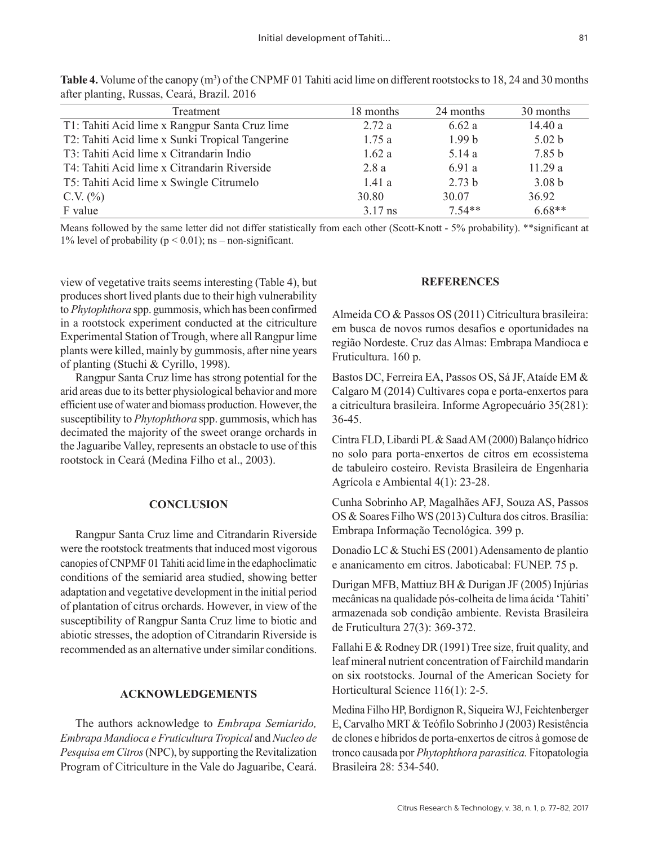| Treatment                                       | 18 months | 24 months         | 30 months         |
|-------------------------------------------------|-----------|-------------------|-------------------|
| T1: Tahiti Acid lime x Rangpur Santa Cruz lime  | 2.72a     | 6.62a             | 14.40 a           |
| T2: Tahiti Acid lime x Sunki Tropical Tangerine | 1.75a     | 1.99 <sub>b</sub> | 5.02 b            |
| T3: Tahiti Acid lime x Citrandarin Indio        | 1.62a     | 5.14a             | 7.85 b            |
| T4: Tahiti Acid lime x Citrandarin Riverside    | 2.8a      | 6.91 a            | 11.29a            |
| T5: Tahiti Acid lime x Swingle Citrumelo        | 1.41a     | 2.73 b            | 3.08 <sub>b</sub> |
| C.V. $(\% )$                                    | 30.80     | 30.07             | 36.92             |
| F value                                         | $3.17$ ns | $7.54**$          | $6.68**$          |

**Table 4.** Volume of the canopy (m<sup>3</sup>) of the CNPMF 01 Tahiti acid lime on different rootstocks to 18, 24 and 30 months after planting, Russas, Ceará, Brazil. 2016

Means followed by the same letter did not differ statistically from each other (Scott-Knott - 5% probability). \*\*significant at 1% level of probability ( $p \le 0.01$ ); ns – non-significant.

view of vegetative traits seems interesting (Table 4), but produces short lived plants due to their high vulnerability to *Phytophthora* spp. gummosis, which has been confirmed in a rootstock experiment conducted at the citriculture Experimental Station of Trough, where all Rangpur lime plants were killed, mainly by gummosis, after nine years of planting (Stuchi & Cyrillo, 1998).

Rangpur Santa Cruz lime has strong potential for the arid areas due to its better physiological behavior and more efficient use of water and biomass production. However, the susceptibility to *Phytophthora* spp. gummosis, which has decimated the majority of the sweet orange orchards in the Jaguaribe Valley, represents an obstacle to use of this rootstock in Ceará (Medina Filho et al., 2003).

#### **CONCLUSION**

Rangpur Santa Cruz lime and Citrandarin Riverside were the rootstock treatments that induced most vigorous canopies of CNPMF 01 Tahiti acid lime in the edaphoclimatic conditions of the semiarid area studied, showing better adaptation and vegetative development in the initial period of plantation of citrus orchards. However, in view of the susceptibility of Rangpur Santa Cruz lime to biotic and abiotic stresses, the adoption of Citrandarin Riverside is recommended as an alternative under similar conditions.

#### **ACKNOWLEDGEMENTS**

The authors acknowledge to *Embrapa Semiarido, Embrapa Mandioca e Fruticultura Tropical* and *Nucleo de Pesquisa em Citros* (NPC), by supporting the Revitalization Program of Citriculture in the Vale do Jaguaribe, Ceará.

#### **REFERENCES**

Almeida CO & Passos OS (2011) Citricultura brasileira: em busca de novos rumos desafios e oportunidades na região Nordeste. Cruz das Almas: Embrapa Mandioca e Fruticultura. 160 p.

Bastos DC, Ferreira EA, Passos OS, Sá JF, Ataíde EM & Calgaro M (2014) Cultivares copa e porta-enxertos para a citricultura brasileira. Informe Agropecuário 35(281): 36-45.

Cintra FLD, Libardi PL & Saad AM (2000) Balanço hídrico no solo para porta-enxertos de citros em ecossistema de tabuleiro costeiro. Revista Brasileira de Engenharia Agrícola e Ambiental 4(1): 23-28.

Cunha Sobrinho AP, Magalhães AFJ, Souza AS, Passos OS & Soares Filho WS (2013) Cultura dos citros. Brasília: Embrapa Informação Tecnológica. 399 p.

Donadio LC & Stuchi ES (2001) Adensamento de plantio e ananicamento em citros. Jaboticabal: FUNEP. 75 p.

Durigan MFB, Mattiuz BH & Durigan JF (2005) Injúrias mecânicas na qualidade pós-colheita de lima ácida 'Tahiti' armazenada sob condição ambiente. Revista Brasileira de Fruticultura 27(3): 369-372.

Fallahi E & Rodney DR (1991) Tree size, fruit quality, and leaf mineral nutrient concentration of Fairchild mandarin on six rootstocks. Journal of the American Society for Horticultural Science 116(1): 2-5.

Medina Filho HP, Bordignon R, Siqueira WJ, Feichtenberger E, Carvalho MRT & Teófilo Sobrinho J (2003) Resistência de clones e híbridos de porta-enxertos de citros à gomose de tronco causada por *Phytophthora parasitica.* Fitopatologia Brasileira 28: 534-540.